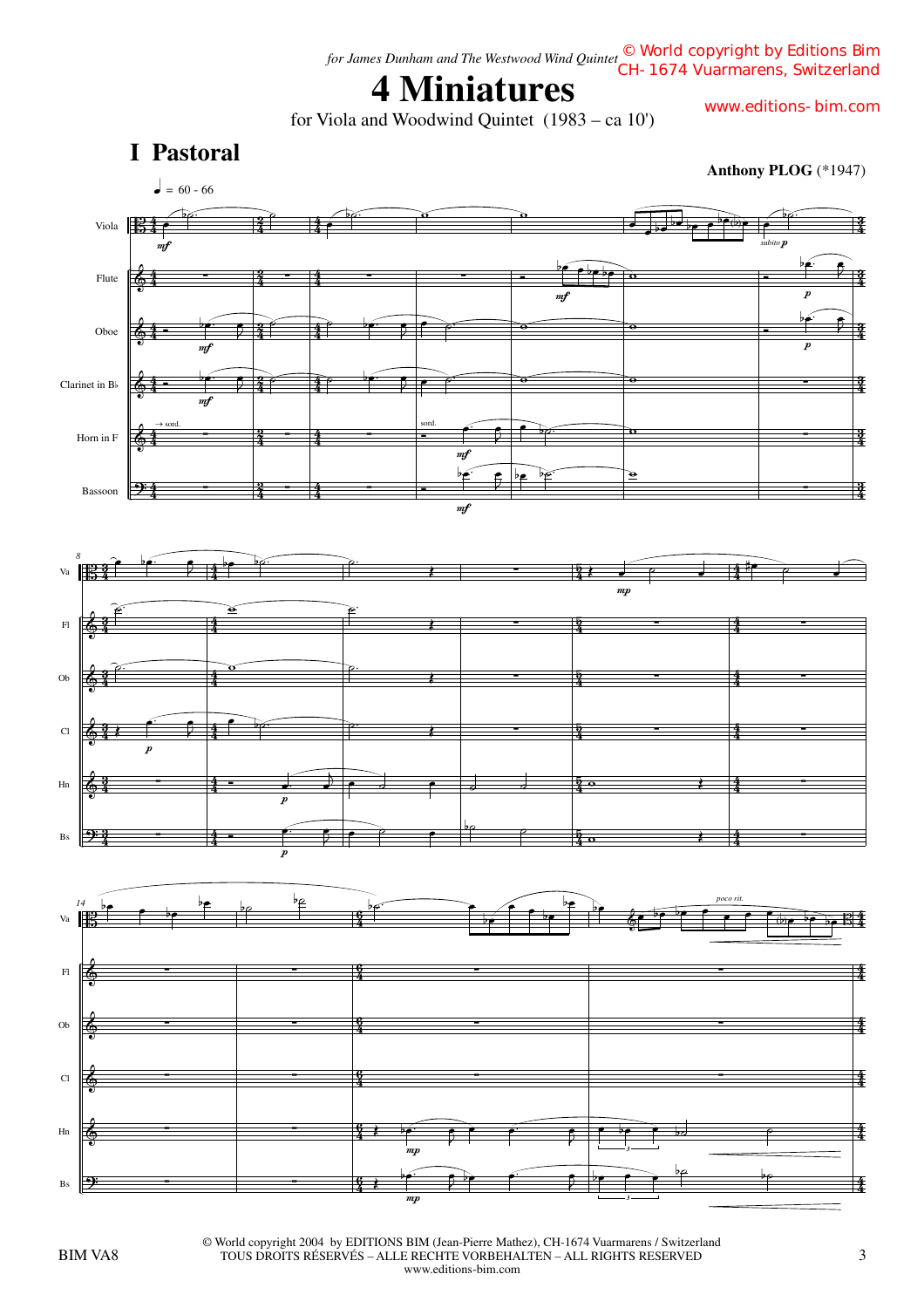# **4 Miniatures**

for Viola and Woodwind Quintet (1983 – ca 10')

www.editions-bim.com



BIM VA8 3 TOUS DROITS RÉSERVÉS – ALLE RECHTE VORBEHALTEN – ALL RIGHTS RESERVED © World copyright 2004 by EDITIONS BIM (Jean-Pierre Mathez), CH-1674 Vuarmarens / Switzerland www.editions-bim.com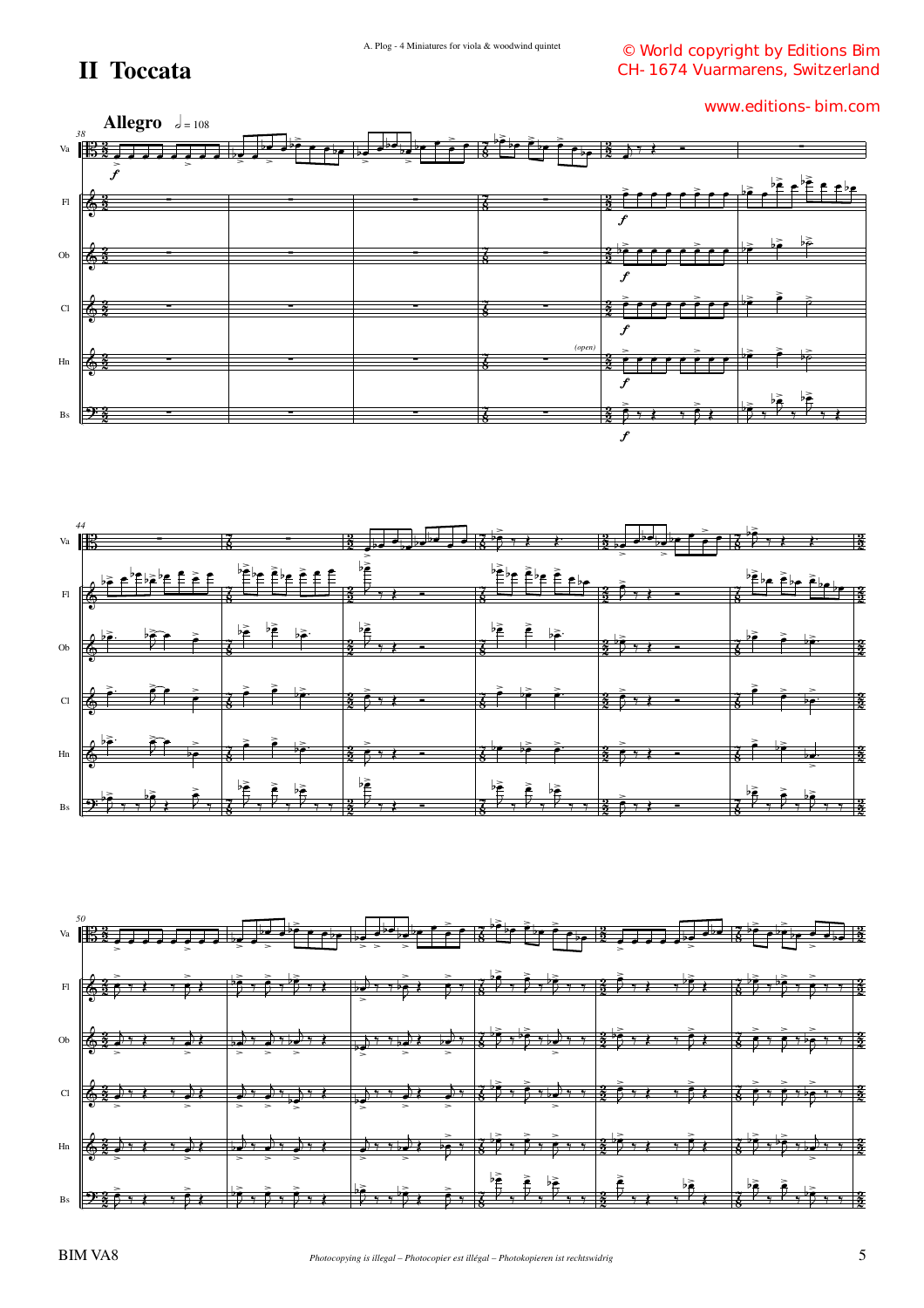### **II Toccata**

© World copyright by Editions Bim CH-1674 Vuarmarens, Switzerland





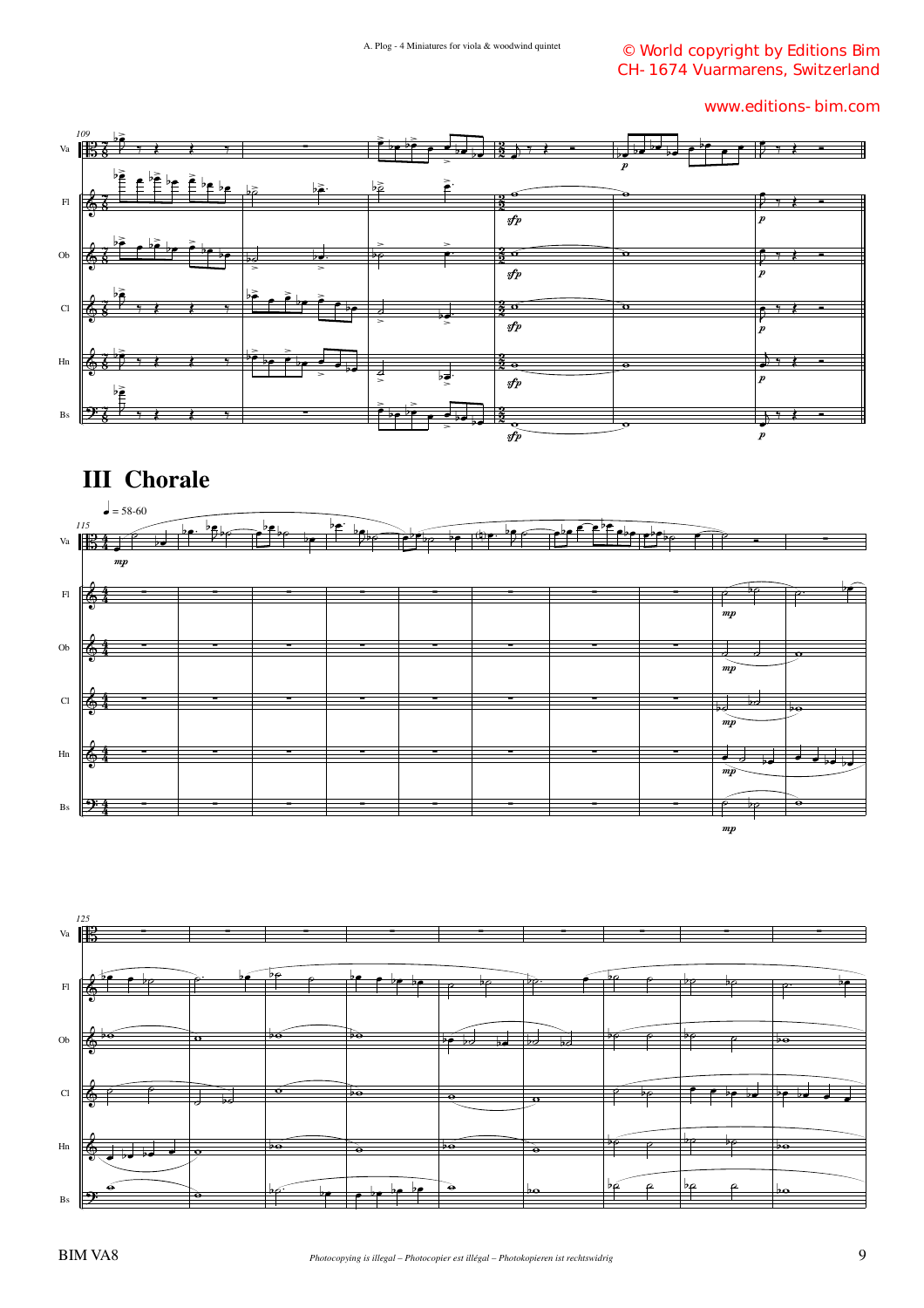© World copyright by Editions Bim CH-1674 Vuarmarens, Switzerland

www.editions-bim.com



### **III Chorale**



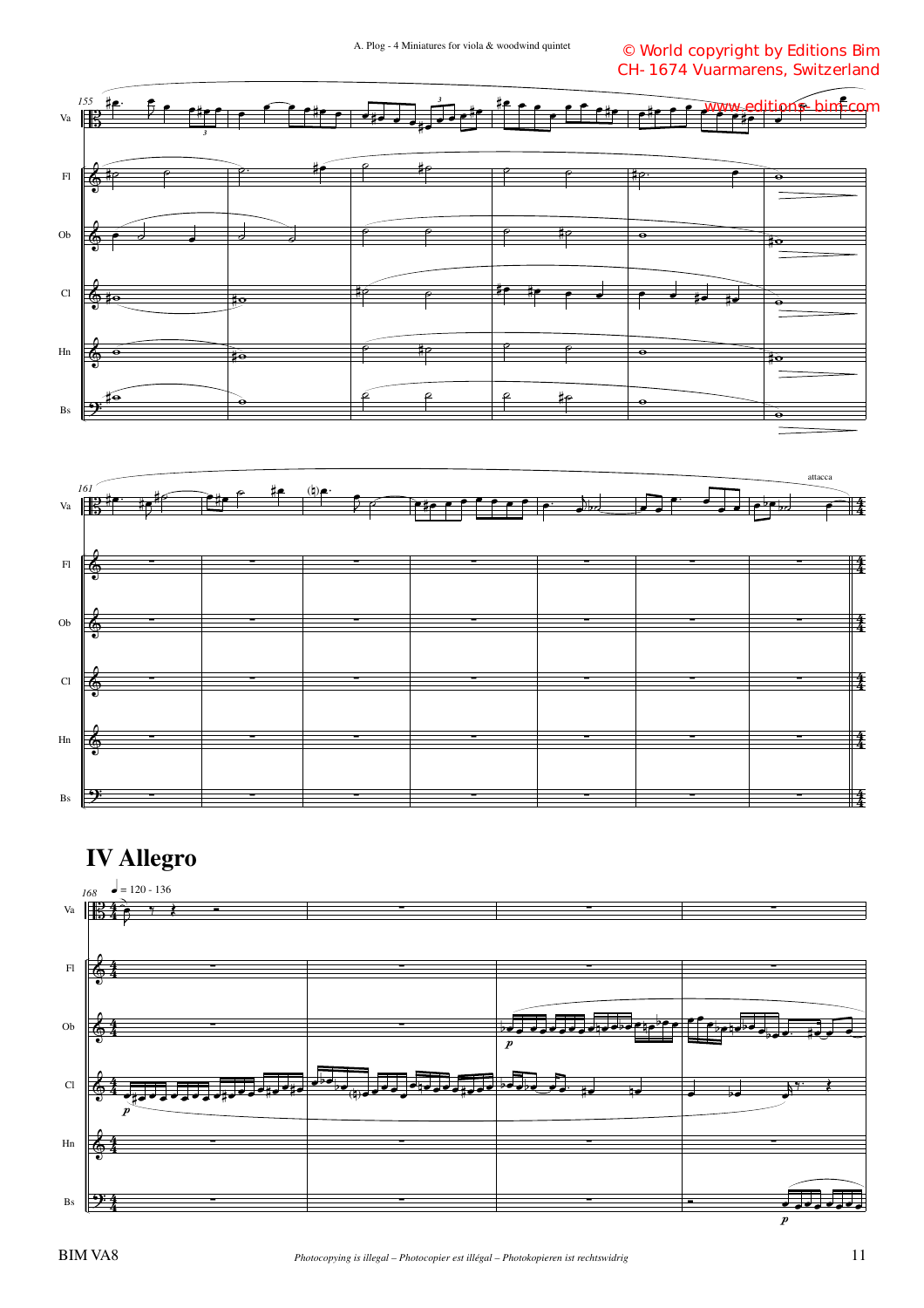© World copyright by Editions Bim CH-1674 Vuarmarens, Switzerland





## **IV Allegro**

![](_page_3_Figure_5.jpeg)